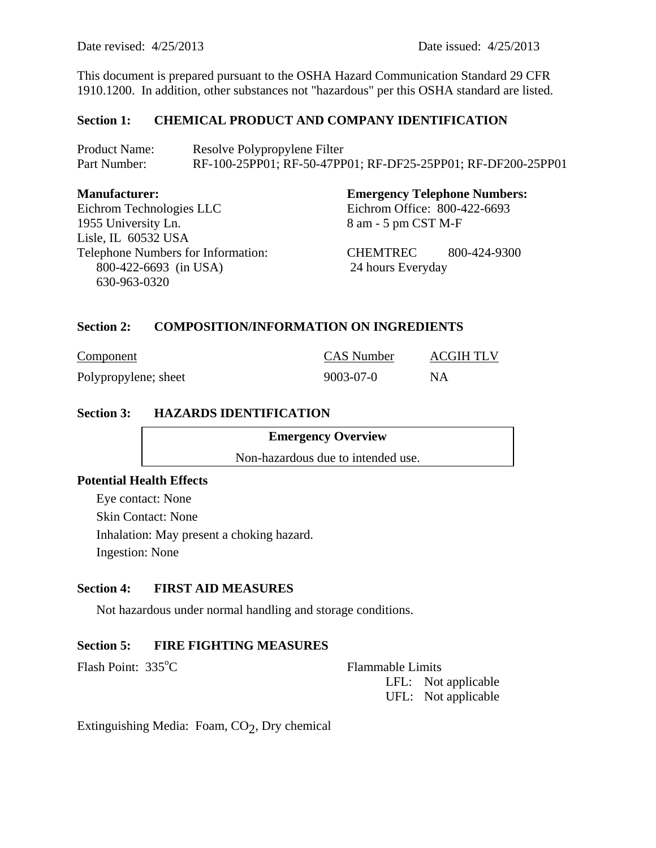Date revised: 4/25/2013 Date issued: 4/25/2013

This document is prepared pursuant to the OSHA Hazard Communication Standard 29 CFR 1910.1200. In addition, other substances not "hazardous" per this OSHA standard are listed.

### **Section 1: CHEMICAL PRODUCT AND COMPANY IDENTIFICATION**

| <b>Product Name:</b> | Resolve Polypropylene Filter                                 |
|----------------------|--------------------------------------------------------------|
| Part Number:         | RF-100-25PP01; RF-50-47PP01; RF-DF25-25PP01; RF-DF200-25PP01 |

| <b>Manufacturer:</b>               | <b>Emergency Telephone Numbers:</b> |
|------------------------------------|-------------------------------------|
| Eichrom Technologies LLC           | Eichrom Office: 800-422-6693        |
| 1955 University Ln.                | 8 am - 5 pm CST M-F                 |
| Lisle, IL 60532 USA                |                                     |
| Telephone Numbers for Information: | CHEMTREC<br>800-424-9300            |
| 800-422-6693 (in USA)              | 24 hours Everyday                   |
| 630-963-0320                       |                                     |

### **Section 2: COMPOSITION/INFORMATION ON INGREDIENTS**

| Component            | <b>CAS</b> Number | ACGIH TLV |
|----------------------|-------------------|-----------|
| Polypropylene; sheet | 9003-07-0         | NA.       |

### **Section 3: HAZARDS IDENTIFICATION**

**Emergency Overview** 

Non-hazardous due to intended use.

# **Potential Health Effects**

Eye contact: None Skin Contact: None Inhalation: May present a choking hazard. Ingestion: None

#### **Section 4: FIRST AID MEASURES**

Not hazardous under normal handling and storage conditions.

#### **Section 5: FIRE FIGHTING MEASURES**

Flash Point:  $335^{\circ}$ C

Flammable Limits LFL: Not applicable UFL: Not applicable

Extinguishing Media: Foam,  $CO<sub>2</sub>$ , Dry chemical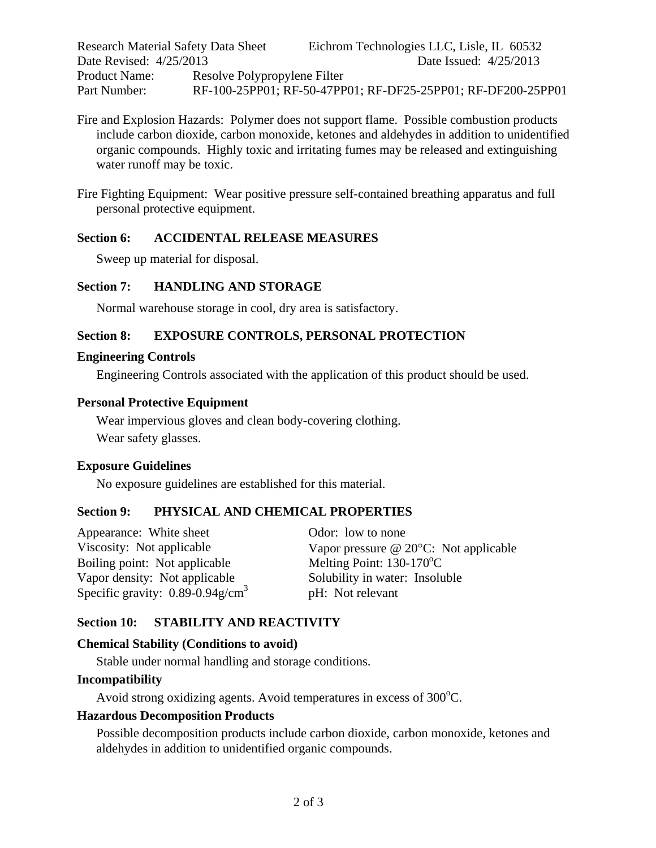| <b>Research Material Safety Data Sheet</b> |                              | Eichrom Technologies LLC, Lisle, IL 60532                    |
|--------------------------------------------|------------------------------|--------------------------------------------------------------|
| Date Revised: 4/25/2013                    |                              | Date Issued: 4/25/2013                                       |
| Product Name:                              | Resolve Polypropylene Filter |                                                              |
| Part Number:                               |                              | RF-100-25PP01; RF-50-47PP01; RF-DF25-25PP01; RF-DF200-25PP01 |

- Fire and Explosion Hazards: Polymer does not support flame. Possible combustion products include carbon dioxide, carbon monoxide, ketones and aldehydes in addition to unidentified organic compounds. Highly toxic and irritating fumes may be released and extinguishing water runoff may be toxic.
- Fire Fighting Equipment: Wear positive pressure self-contained breathing apparatus and full personal protective equipment.

### **Section 6: ACCIDENTAL RELEASE MEASURES**

Sweep up material for disposal.

#### **Section 7: HANDLING AND STORAGE**

Normal warehouse storage in cool, dry area is satisfactory.

### **Section 8: EXPOSURE CONTROLS, PERSONAL PROTECTION**

#### **Engineering Controls**

Engineering Controls associated with the application of this product should be used.

#### **Personal Protective Equipment**

Wear impervious gloves and clean body-covering clothing. Wear safety glasses.

#### **Exposure Guidelines**

No exposure guidelines are established for this material.

#### **Section 9: PHYSICAL AND CHEMICAL PROPERTIES**

| Appearance: White sheet                           | Odor: low to none                           |
|---------------------------------------------------|---------------------------------------------|
| Viscosity: Not applicable                         | Vapor pressure $@$ 20 $°C$ : Not applicable |
| Boiling point: Not applicable                     | Melting Point: $130-170$ <sup>o</sup> C     |
| Vapor density: Not applicable                     | Solubility in water: Insoluble              |
| Specific gravity: $0.89 - 0.94$ g/cm <sup>3</sup> | pH: Not relevant                            |

#### **Section 10: STABILITY AND REACTIVITY**

#### **Chemical Stability (Conditions to avoid)**

Stable under normal handling and storage conditions.

#### **Incompatibility**

Avoid strong oxidizing agents. Avoid temperatures in excess of  $300^{\circ}$ C.

#### **Hazardous Decomposition Products**

Possible decomposition products include carbon dioxide, carbon monoxide, ketones and aldehydes in addition to unidentified organic compounds.